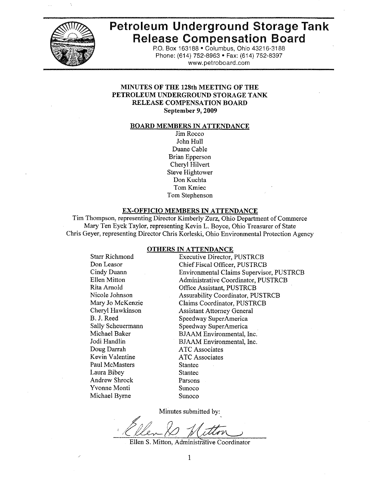

# **Petroleum Underground Storage Tank Release Compensation Board**

P.O. Box 163188 . Columbus, Ohio 43216-3188 Phone: (614) 752-8963 · Fax: (614) 752-8397 www.petroboard.com

### **MINUTES OF THE 128th MEETING OF THE** PETROLEUM UNDERGROUND STORAGE TANK **RELEASE COMPENSATION BOARD** September 9, 2009

#### **BOARD MEMBERS IN ATTENDANCE**

Jim Rocco John Hull Duane Cable **Brian Epperson** Cheryl Hilvert **Steve Hightower** Don Kuchta Tom Kmiec Tom Stephenson

#### **EX-OFFICIO MEMBERS IN ATTENDANCE**

Tim Thompson, representing Director Kimberly Zurz, Ohio Department of Commerce Mary Ten Eyck Taylor, representing Kevin L. Boyce, Ohio Treasurer of State Chris Geyer, representing Director Chris Korleski, Ohio Environmental Protection Agency

#### **OTHERS IN ATTENDANCE**

**Starr Richmond** Don Leasor Cindy Duann **Ellen Mitton** Rita Arnold Nicole Johnson Mary Jo McKenzie Cheryl Hawkinson B. J. Reed Sally Scheuermann Michael Baker Jodi Handlin Doug Darrah Kevin Valentine Paul McMasters Laura Bibey **Andrew Shrock** Yvonne Monti Michael Byrne

**Executive Director, PUSTRCB** Chief Fiscal Officer, PUSTRCB Environmental Claims Supervisor, PUSTRCB Administrative Coordinator, PUSTRCB Office Assistant, PUSTRCB **Assurability Coordinator, PUSTRCB** Claims Coordinator, PUSTRCB **Assistant Attorney General** Speedway SuperAmerica Speedway SuperAmerica **BJAAM** Environmental, Inc. BJAAM Environmental, Inc. **ATC** Associates **ATC** Associates **Stantec Stantec** Parsons Sunoco Sunoco

Minutes submitted by:

Ellen S. Mitton, Administrative Coordinator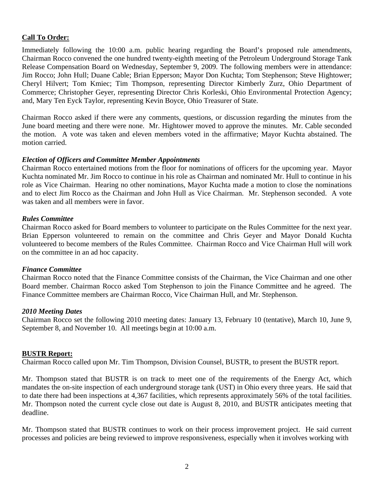# **Call To Order:**

Immediately following the 10:00 a.m. public hearing regarding the Board's proposed rule amendments, Chairman Rocco convened the one hundred twenty-eighth meeting of the Petroleum Underground Storage Tank Release Compensation Board on Wednesday, September 9, 2009. The following members were in attendance: Jim Rocco; John Hull; Duane Cable; Brian Epperson; Mayor Don Kuchta; Tom Stephenson; Steve Hightower; Cheryl Hilvert; Tom Kmiec; Tim Thompson, representing Director Kimberly Zurz, Ohio Department of Commerce; Christopher Geyer, representing Director Chris Korleski, Ohio Environmental Protection Agency; and, Mary Ten Eyck Taylor, representing Kevin Boyce, Ohio Treasurer of State.

Chairman Rocco asked if there were any comments, questions, or discussion regarding the minutes from the June board meeting and there were none. Mr. Hightower moved to approve the minutes. Mr. Cable seconded the motion. A vote was taken and eleven members voted in the affirmative; Mayor Kuchta abstained. The motion carried.

## *Election of Officers and Committee Member Appointments*

Chairman Rocco entertained motions from the floor for nominations of officers for the upcoming year. Mayor Kuchta nominated Mr. Jim Rocco to continue in his role as Chairman and nominated Mr. Hull to continue in his role as Vice Chairman. Hearing no other nominations, Mayor Kuchta made a motion to close the nominations and to elect Jim Rocco as the Chairman and John Hull as Vice Chairman. Mr. Stephenson seconded. A vote was taken and all members were in favor.

## *Rules Committee*

Chairman Rocco asked for Board members to volunteer to participate on the Rules Committee for the next year. Brian Epperson volunteered to remain on the committee and Chris Geyer and Mayor Donald Kuchta volunteered to become members of the Rules Committee. Chairman Rocco and Vice Chairman Hull will work on the committee in an ad hoc capacity.

## *Finance Committee*

Chairman Rocco noted that the Finance Committee consists of the Chairman, the Vice Chairman and one other Board member. Chairman Rocco asked Tom Stephenson to join the Finance Committee and he agreed. The Finance Committee members are Chairman Rocco, Vice Chairman Hull, and Mr. Stephenson.

## *2010 Meeting Dates*

Chairman Rocco set the following 2010 meeting dates: January 13, February 10 (tentative), March 10, June 9, September 8, and November 10. All meetings begin at 10:00 a.m.

#### **BUSTR Report:**

Chairman Rocco called upon Mr. Tim Thompson, Division Counsel, BUSTR, to present the BUSTR report.

Mr. Thompson stated that BUSTR is on track to meet one of the requirements of the Energy Act, which mandates the on-site inspection of each underground storage tank (UST) in Ohio every three years. He said that to date there had been inspections at 4,367 facilities, which represents approximately 56% of the total facilities. Mr. Thompson noted the current cycle close out date is August 8, 2010, and BUSTR anticipates meeting that deadline.

Mr. Thompson stated that BUSTR continues to work on their process improvement project. He said current processes and policies are being reviewed to improve responsiveness, especially when it involves working with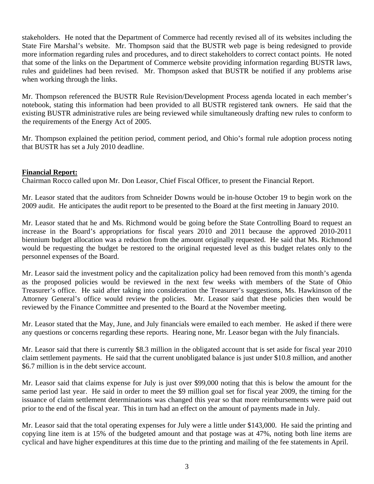stakeholders. He noted that the Department of Commerce had recently revised all of its websites including the State Fire Marshal's website. Mr. Thompson said that the BUSTR web page is being redesigned to provide more information regarding rules and procedures, and to direct stakeholders to correct contact points. He noted that some of the links on the Department of Commerce website providing information regarding BUSTR laws, rules and guidelines had been revised. Mr. Thompson asked that BUSTR be notified if any problems arise when working through the links.

Mr. Thompson referenced the BUSTR Rule Revision/Development Process agenda located in each member's notebook, stating this information had been provided to all BUSTR registered tank owners. He said that the existing BUSTR administrative rules are being reviewed while simultaneously drafting new rules to conform to the requirements of the Energy Act of 2005.

Mr. Thompson explained the petition period, comment period, and Ohio's formal rule adoption process noting that BUSTR has set a July 2010 deadline.

# **Financial Report:**

Chairman Rocco called upon Mr. Don Leasor, Chief Fiscal Officer, to present the Financial Report.

Mr. Leasor stated that the auditors from Schneider Downs would be in-house October 19 to begin work on the 2009 audit. He anticipates the audit report to be presented to the Board at the first meeting in January 2010.

Mr. Leasor stated that he and Ms. Richmond would be going before the State Controlling Board to request an increase in the Board's appropriations for fiscal years 2010 and 2011 because the approved 2010-2011 biennium budget allocation was a reduction from the amount originally requested. He said that Ms. Richmond would be requesting the budget be restored to the original requested level as this budget relates only to the personnel expenses of the Board.

Mr. Leasor said the investment policy and the capitalization policy had been removed from this month's agenda as the proposed policies would be reviewed in the next few weeks with members of the State of Ohio Treasurer's office. He said after taking into consideration the Treasurer's suggestions, Ms. Hawkinson of the Attorney General's office would review the policies. Mr. Leasor said that these policies then would be reviewed by the Finance Committee and presented to the Board at the November meeting.

Mr. Leasor stated that the May, June, and July financials were emailed to each member. He asked if there were any questions or concerns regarding these reports. Hearing none, Mr. Leasor began with the July financials.

Mr. Leasor said that there is currently \$8.3 million in the obligated account that is set aside for fiscal year 2010 claim settlement payments. He said that the current unobligated balance is just under \$10.8 million, and another \$6.7 million is in the debt service account.

Mr. Leasor said that claims expense for July is just over \$99,000 noting that this is below the amount for the same period last year. He said in order to meet the \$9 million goal set for fiscal year 2009, the timing for the issuance of claim settlement determinations was changed this year so that more reimbursements were paid out prior to the end of the fiscal year. This in turn had an effect on the amount of payments made in July.

Mr. Leasor said that the total operating expenses for July were a little under \$143,000. He said the printing and copying line item is at 15% of the budgeted amount and that postage was at 47%, noting both line items are cyclical and have higher expenditures at this time due to the printing and mailing of the fee statements in April.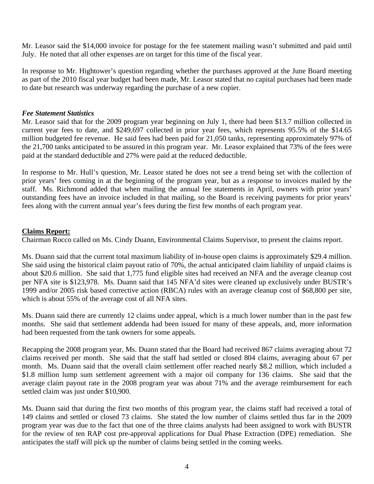Mr. Leasor said the \$14,000 invoice for postage for the fee statement mailing wasn't submitted and paid until July. He noted that all other expenses are on target for this time of the fiscal year.

In response to Mr. Hightower's question regarding whether the purchases approved at the June Board meeting as part of the 2010 fiscal year budget had been made, Mr. Leasor stated that no capital purchases had been made to date but research was underway regarding the purchase of a new copier.

## *Fee Statement Statistics*

Mr. Leasor said that for the 2009 program year beginning on July 1, there had been \$13.7 million collected in current year fees to date, and \$249,697 collected in prior year fees, which represents 95.5% of the \$14.65 million budgeted fee revenue. He said fees had been paid for 21,050 tanks, representing approximately 97% of the 21,700 tanks anticipated to be assured in this program year. Mr. Leasor explained that 73% of the fees were paid at the standard deductible and 27% were paid at the reduced deductible.

In response to Mr. Hull's question, Mr. Leasor stated he does not see a trend being set with the collection of prior years' fees coming in at the beginning of the program year, but as a response to invoices mailed by the staff. Ms. Richmond added that when mailing the annual fee statements in April, owners with prior years' outstanding fees have an invoice included in that mailing, so the Board is receiving payments for prior years' fees along with the current annual year's fees during the first few months of each program year.

# **Claims Report:**

Chairman Rocco called on Ms. Cindy Duann, Environmental Claims Supervisor, to present the claims report.

Ms. Duann said that the current total maximum liability of in-house open claims is approximately \$29.4 million. She said using the historical claim payout ratio of 70%, the actual anticipated claim liability of unpaid claims is about \$20.6 million. She said that 1,775 fund eligible sites had received an NFA and the average cleanup cost per NFA site is \$123,978. Ms. Duann said that 145 NFA'd sites were cleaned up exclusively under BUSTR's 1999 and/or 2005 risk based corrective action (RBCA) rules with an average cleanup cost of \$68,800 per site, which is about 55% of the average cost of all NFA sites.

Ms. Duann said there are currently 12 claims under appeal, which is a much lower number than in the past few months. She said that settlement addenda had been issued for many of these appeals, and, more information had been requested from the tank owners for some appeals.

Recapping the 2008 program year, Ms. Duann stated that the Board had received 867 claims averaging about 72 claims received per month. She said that the staff had settled or closed 804 claims, averaging about 67 per month. Ms. Duann said that the overall claim settlement offer reached nearly \$8.2 million, which included a \$1.8 million lump sum settlement agreement with a major oil company for 136 claims. She said that the average claim payout rate in the 2008 program year was about 71% and the average reimbursement for each settled claim was just under \$10,900.

Ms. Duann said that during the first two months of this program year, the claims staff had received a total of 149 claims and settled or closed 73 claims. She stated the low number of claims settled thus far in the 2009 program year was due to the fact that one of the three claims analysts had been assigned to work with BUSTR for the review of ten RAP cost pre-approval applications for Dual Phase Extraction (DPE) remediation. She anticipates the staff will pick up the number of claims being settled in the coming weeks.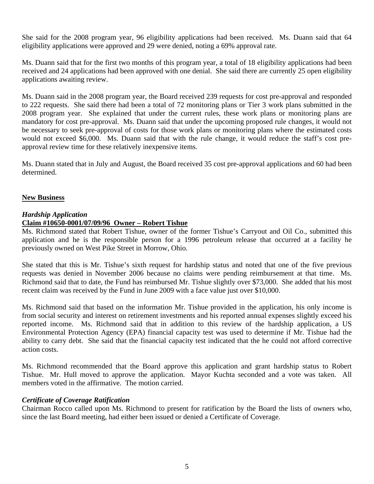She said for the 2008 program year, 96 eligibility applications had been received. Ms. Duann said that 64 eligibility applications were approved and 29 were denied, noting a 69% approval rate.

Ms. Duann said that for the first two months of this program year, a total of 18 eligibility applications had been received and 24 applications had been approved with one denial. She said there are currently 25 open eligibility applications awaiting review.

Ms. Duann said in the 2008 program year, the Board received 239 requests for cost pre-approval and responded to 222 requests. She said there had been a total of 72 monitoring plans or Tier 3 work plans submitted in the 2008 program year. She explained that under the current rules, these work plans or monitoring plans are mandatory for cost pre-approval. Ms. Duann said that under the upcoming proposed rule changes, it would not be necessary to seek pre-approval of costs for those work plans or monitoring plans where the estimated costs would not exceed \$6,000. Ms. Duann said that with the rule change, it would reduce the staff's cost preapproval review time for these relatively inexpensive items.

Ms. Duann stated that in July and August, the Board received 35 cost pre-approval applications and 60 had been determined.

# **New Business**

# *Hardship Application*

# **Claim #10650-0001/07/09/96 Owner – Robert Tishue**

Ms. Richmond stated that Robert Tishue, owner of the former Tishue's Carryout and Oil Co., submitted this application and he is the responsible person for a 1996 petroleum release that occurred at a facility he previously owned on West Pike Street in Morrow, Ohio.

She stated that this is Mr. Tishue's sixth request for hardship status and noted that one of the five previous requests was denied in November 2006 because no claims were pending reimbursement at that time. Ms. Richmond said that to date, the Fund has reimbursed Mr. Tishue slightly over \$73,000. She added that his most recent claim was received by the Fund in June 2009 with a face value just over \$10,000.

Ms. Richmond said that based on the information Mr. Tishue provided in the application, his only income is from social security and interest on retirement investments and his reported annual expenses slightly exceed his reported income. Ms. Richmond said that in addition to this review of the hardship application, a US Environmental Protection Agency (EPA) financial capacity test was used to determine if Mr. Tishue had the ability to carry debt. She said that the financial capacity test indicated that the he could not afford corrective action costs.

Ms. Richmond recommended that the Board approve this application and grant hardship status to Robert Tishue. Mr. Hull moved to approve the application. Mayor Kuchta seconded and a vote was taken. All members voted in the affirmative. The motion carried.

# *Certificate of Coverage Ratification*

Chairman Rocco called upon Ms. Richmond to present for ratification by the Board the lists of owners who, since the last Board meeting, had either been issued or denied a Certificate of Coverage.